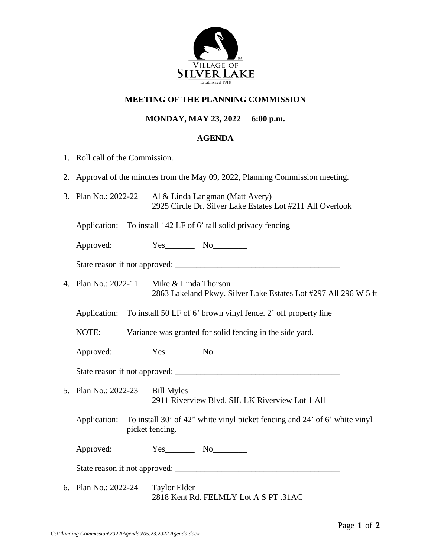

## **MEETING OF THE PLANNING COMMISSION**

## **MONDAY, MAY 23, 2022 6:00 p.m.**

## **AGENDA**

- 1. Roll call of the Commission.
- 2. Approval of the minutes from the May 09, 2022, Planning Commission meeting.
- 3. Plan No.: 2022-22 Al & Linda Langman (Matt Avery) 2925 Circle Dr. Silver Lake Estates Lot #211 All Overlook

Application: To install 142 LF of 6' tall solid privacy fencing

Approved: Yes\_\_\_\_\_\_\_\_ No\_\_\_\_\_\_\_\_

State reason if not approved: \_\_\_\_\_\_\_\_\_\_\_\_\_\_\_\_\_\_\_\_\_\_\_\_\_\_\_\_\_\_\_\_\_\_\_\_\_\_\_

4. Plan No.: 2022-11 Mike & Linda Thorson 2863 Lakeland Pkwy. Silver Lake Estates Lot #297 All 296 W 5 ft

Application: To install 50 LF of 6' brown vinyl fence. 2' off property line

NOTE: Variance was granted for solid fencing in the side yard.

Approved:  $Yes$  No

State reason if not approved: \_\_\_\_\_\_\_\_\_\_\_\_\_\_\_\_\_\_\_\_\_\_\_\_\_\_\_\_\_\_\_\_\_\_\_\_\_\_\_

- 5. Plan No.: 2022-23 Bill Myles 2911 Riverview Blvd. SIL LK Riverview Lot 1 All
	- Application: To install 30' of 42" white vinyl picket fencing and 24' of 6' white vinyl picket fencing.

Approved: Yes\_\_\_\_\_\_\_\_ No\_\_\_\_\_\_\_\_

State reason if not approved:

6. Plan No.: 2022-24 Taylor Elder 2818 Kent Rd. FELMLY Lot A S PT .31AC